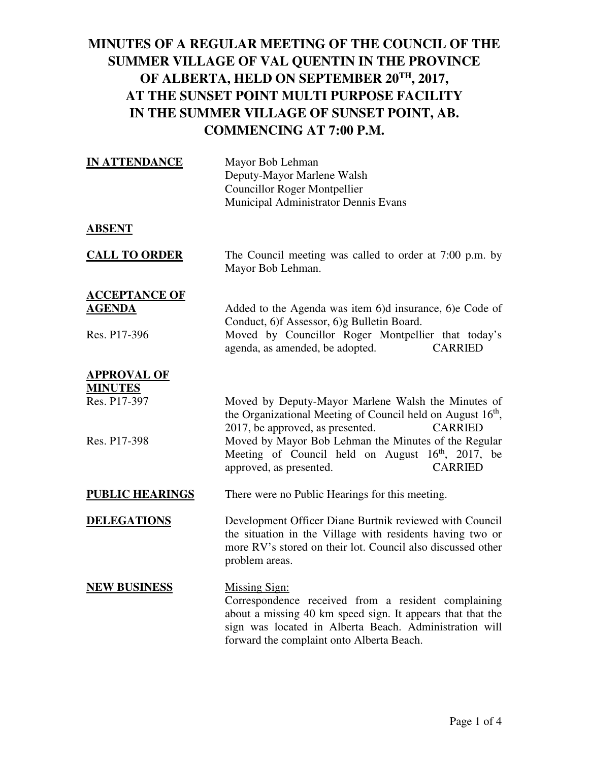| <b>IN ATTENDANCE</b>                                  | Mayor Bob Lehman<br>Deputy-Mayor Marlene Walsh<br><b>Councillor Roger Montpellier</b><br>Municipal Administrator Dennis Evans                                                                                                                    |
|-------------------------------------------------------|--------------------------------------------------------------------------------------------------------------------------------------------------------------------------------------------------------------------------------------------------|
| <u>ABSENT</u>                                         |                                                                                                                                                                                                                                                  |
| <b>CALL TO ORDER</b>                                  | The Council meeting was called to order at 7:00 p.m. by<br>Mayor Bob Lehman.                                                                                                                                                                     |
| <b>ACCEPTANCE OF</b><br><u>AGENDA</u><br>Res. P17-396 | Added to the Agenda was item 6)d insurance, 6)e Code of<br>Conduct, 6)f Assessor, 6)g Bulletin Board.<br>Moved by Councillor Roger Montpellier that today's<br>agenda, as amended, be adopted.<br><b>CARRIED</b>                                 |
| <b>APPROVAL OF</b>                                    |                                                                                                                                                                                                                                                  |
| <b>MINUTES</b><br>Res. P17-397                        | Moved by Deputy-Mayor Marlene Walsh the Minutes of<br>the Organizational Meeting of Council held on August 16 <sup>th</sup> ,<br>2017, be approved, as presented.<br><b>CARRIED</b>                                                              |
| Res. P17-398                                          | Moved by Mayor Bob Lehman the Minutes of the Regular<br>Meeting of Council held on August $16th$ , 2017, be<br>approved, as presented.<br><b>CARRIED</b>                                                                                         |
| <b>PUBLIC HEARINGS</b>                                | There were no Public Hearings for this meeting.                                                                                                                                                                                                  |
| <b>DELEGATIONS</b>                                    | Development Officer Diane Burtnik reviewed with Council<br>the situation in the Village with residents having two or<br>more RV's stored on their lot. Council also discussed other<br>problem areas.                                            |
| <b>NEW BUSINESS</b>                                   | <b>Missing Sign:</b><br>Correspondence received from a resident complaining<br>about a missing 40 km speed sign. It appears that that the<br>sign was located in Alberta Beach. Administration will<br>forward the complaint onto Alberta Beach. |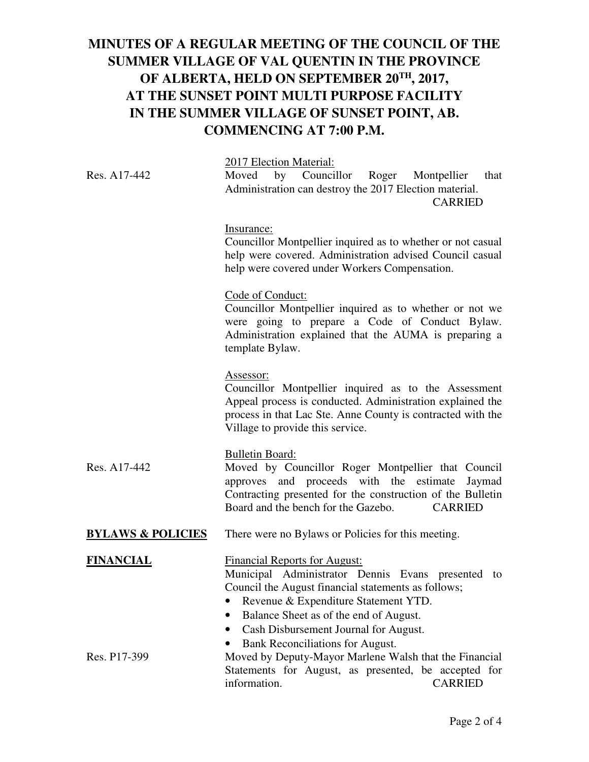|                              | 2017 Election Material:                                                                                                                                                                                                                                                     |
|------------------------------|-----------------------------------------------------------------------------------------------------------------------------------------------------------------------------------------------------------------------------------------------------------------------------|
| Res. A17-442                 | Moved by Councillor Roger Montpellier<br>that<br>Administration can destroy the 2017 Election material.<br><b>CARRIED</b>                                                                                                                                                   |
|                              | Insurance:<br>Councillor Montpellier inquired as to whether or not casual<br>help were covered. Administration advised Council casual<br>help were covered under Workers Compensation.                                                                                      |
|                              | Code of Conduct:<br>Councillor Montpellier inquired as to whether or not we<br>were going to prepare a Code of Conduct Bylaw.<br>Administration explained that the AUMA is preparing a<br>template Bylaw.                                                                   |
|                              | Assessor:<br>Councillor Montpellier inquired as to the Assessment<br>Appeal process is conducted. Administration explained the<br>process in that Lac Ste. Anne County is contracted with the<br>Village to provide this service.                                           |
| Res. A17-442                 | <b>Bulletin Board:</b><br>Moved by Councillor Roger Montpellier that Council<br>approves and proceeds with the estimate<br>Jaymad<br>Contracting presented for the construction of the Bulletin<br>Board and the bench for the Gazebo.<br><b>CARRIED</b>                    |
| <b>BYLAWS &amp; POLICIES</b> | There were no Bylaws or Policies for this meeting.                                                                                                                                                                                                                          |
| <b>FINANCIAL</b>             | <b>Financial Reports for August:</b><br>Municipal Administrator Dennis Evans presented to<br>Council the August financial statements as follows;<br>Revenue & Expenditure Statement YTD.<br>Balance Sheet as of the end of August.<br>Cash Disbursement Journal for August. |
| Res. P17-399                 | Bank Reconciliations for August.<br>Moved by Deputy-Mayor Marlene Walsh that the Financial<br>Statements for August, as presented, be accepted for<br>information.<br><b>CARRIED</b>                                                                                        |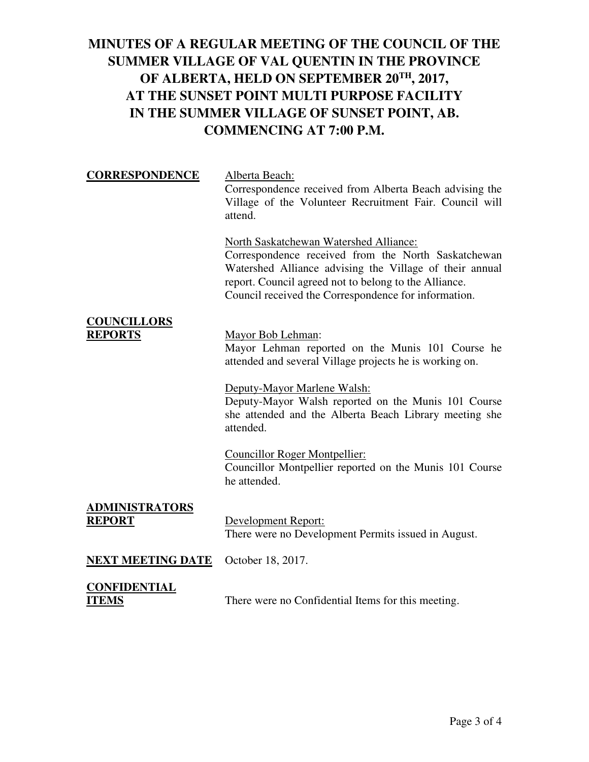| <b>CORRESPONDENCE</b>                  | Alberta Beach:<br>Correspondence received from Alberta Beach advising the<br>Village of the Volunteer Recruitment Fair. Council will<br>attend.                                                                                                                           |
|----------------------------------------|---------------------------------------------------------------------------------------------------------------------------------------------------------------------------------------------------------------------------------------------------------------------------|
|                                        | North Saskatchewan Watershed Alliance:<br>Correspondence received from the North Saskatchewan<br>Watershed Alliance advising the Village of their annual<br>report. Council agreed not to belong to the Alliance.<br>Council received the Correspondence for information. |
| <b>COUNCILLORS</b><br><b>REPORTS</b>   | Mayor Bob Lehman:<br>Mayor Lehman reported on the Munis 101 Course he<br>attended and several Village projects he is working on.                                                                                                                                          |
|                                        | Deputy-Mayor Marlene Walsh:<br>Deputy-Mayor Walsh reported on the Munis 101 Course<br>she attended and the Alberta Beach Library meeting she<br>attended.                                                                                                                 |
|                                        | <b>Councillor Roger Montpellier:</b><br>Councillor Montpellier reported on the Munis 101 Course<br>he attended.                                                                                                                                                           |
| <b>ADMINISTRATORS</b><br><b>REPORT</b> | Development Report:<br>There were no Development Permits issued in August.                                                                                                                                                                                                |
| <b>NEXT MEETING DATE</b>               | October 18, 2017.                                                                                                                                                                                                                                                         |
| CONFIDENTIAL<br>ITEMS                  | There were no Confidential Items for this meeting.                                                                                                                                                                                                                        |